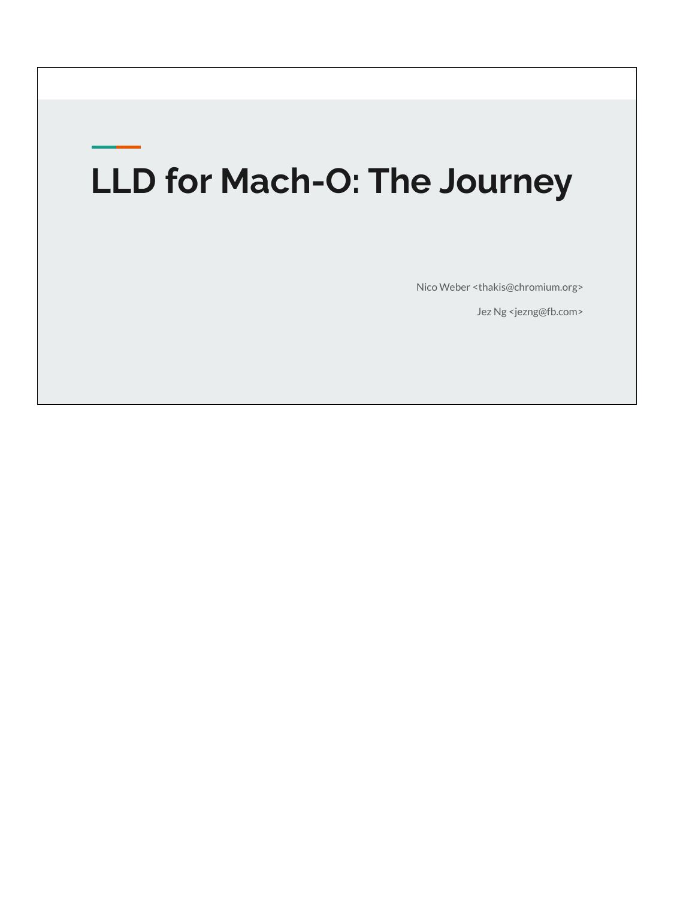# **LLD for Mach-O: The Journey**

Nico Weber <thakis@chromium.org>

Jez Ng <jezng@fb.com>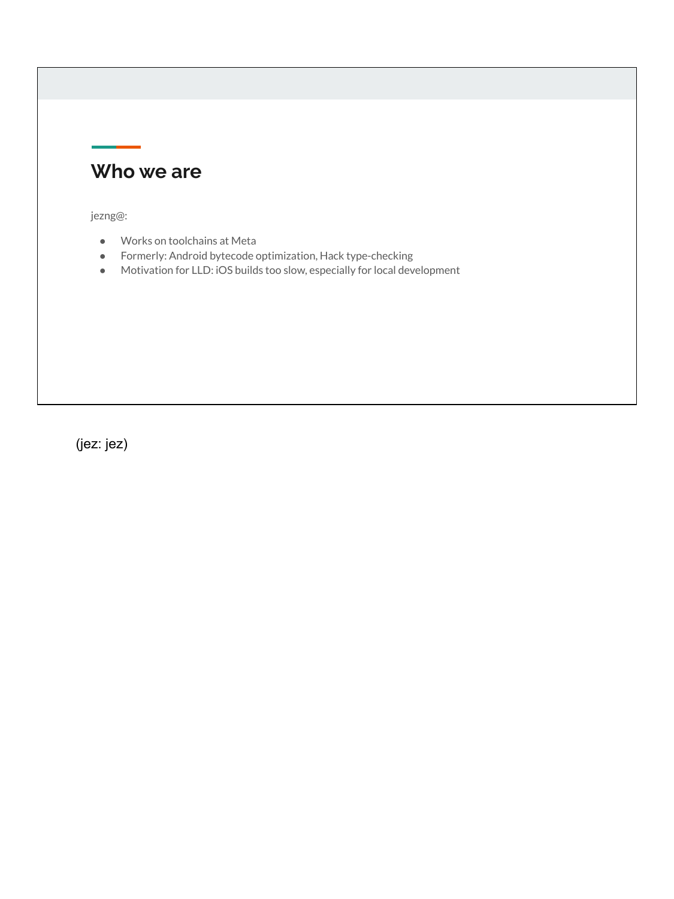### **Who we are**

jezng@:

- Works on toolchains at Meta
- Formerly: Android bytecode optimization, Hack type-checking
- Motivation for LLD: iOS builds too slow, especially for local development

(jez: jez)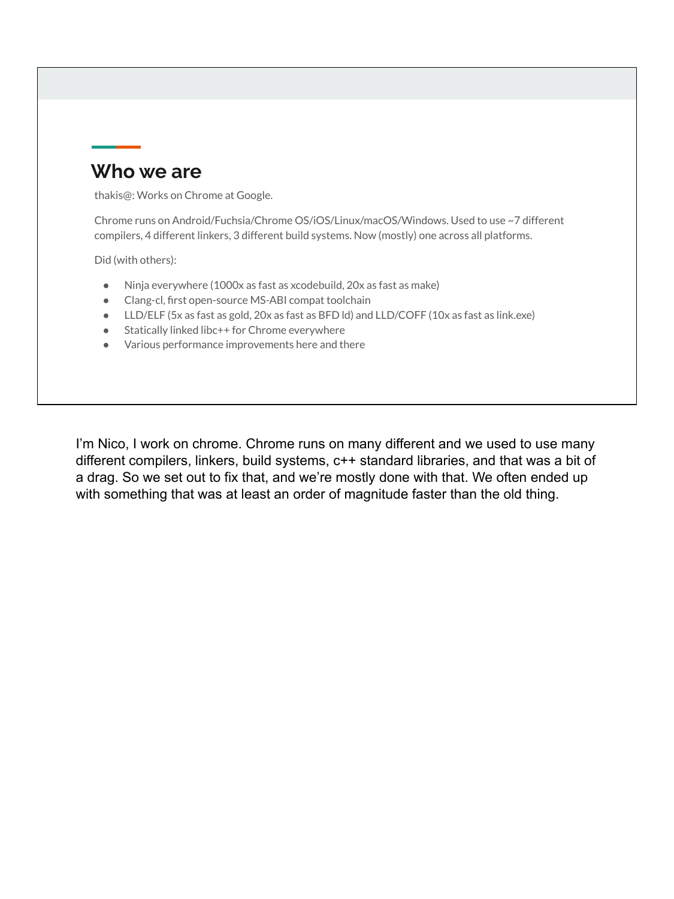### **Who we are**

thakis@: Works on Chrome at Google.

Chrome runs on Android/Fuchsia/Chrome OS/iOS/Linux/macOS/Windows. Used to use ~7 different compilers, 4 different linkers, 3 different build systems. Now (mostly) one across all platforms.

Did (with others):

- Ninja everywhere (1000x as fast as xcodebuild, 20x as fast as make)
- Clang-cl, first open-source MS-ABI compat toolchain
- LLD/ELF (5x as fast as gold, 20x as fast as BFD ld) and LLD/COFF (10x as fast as link.exe)
- Statically linked libc++ for Chrome everywhere
- Various performance improvements here and there

I'm Nico, I work on chrome. Chrome runs on many different and we used to use many different compilers, linkers, build systems, c++ standard libraries, and that was a bit of a drag. So we set out to fix that, and we're mostly done with that. We often ended up with something that was at least an order of magnitude faster than the old thing.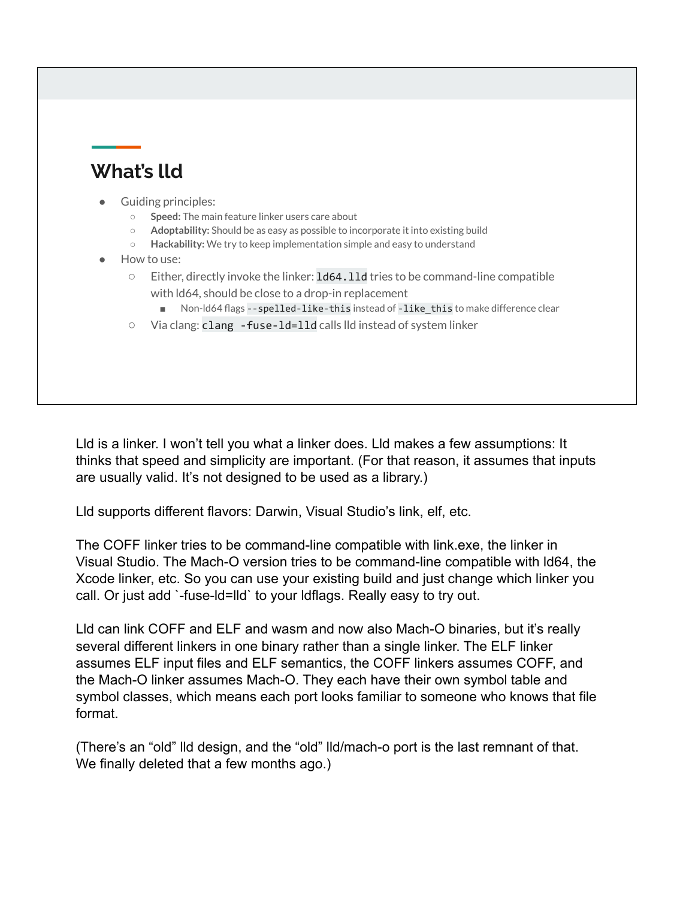# **What's lld**

#### Guiding principles:

- **Speed:** The main feature linker users care about
- **Adoptability:** Should be as easy as possible to incorporate it into existing build
- **Hackability:** We try to keep implementation simple and easy to understand
- How to use:
	- Either, directly invoke the linker: ld64.lld tries to be command-line compatible with ld64, should be close to a drop-in replacement
		- Non-Id64 flags --spelled-like-this instead of -like\_this to make difference clear
	- Via clang: clang -fuse-ld=lld calls lld instead of system linker

Lld is a linker. I won't tell you what a linker does. Lld makes a few assumptions: It thinks that speed and simplicity are important. (For that reason, it assumes that inputs are usually valid. It's not designed to be used as a library.)

Lld supports different flavors: Darwin, Visual Studio's link, elf, etc.

The COFF linker tries to be command-line compatible with link.exe, the linker in Visual Studio. The Mach-O version tries to be command-line compatible with ld64, the Xcode linker, etc. So you can use your existing build and just change which linker you call. Or just add `-fuse-ld=lld` to your ldflags. Really easy to try out.

Lld can link COFF and ELF and wasm and now also Mach-O binaries, but it's really several different linkers in one binary rather than a single linker. The ELF linker assumes ELF input files and ELF semantics, the COFF linkers assumes COFF, and the Mach-O linker assumes Mach-O. They each have their own symbol table and symbol classes, which means each port looks familiar to someone who knows that file format.

(There's an "old" lld design, and the "old" lld/mach-o port is the last remnant of that. We finally deleted that a few months ago.)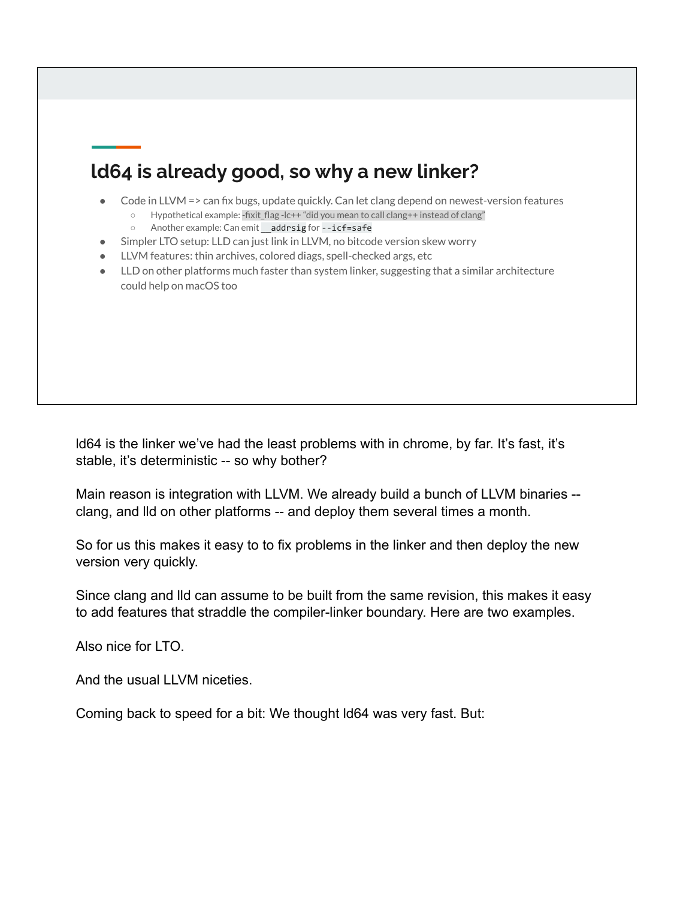# **ld64 is already good, so why a new linker?**

- Code in LLVM = > can fix bugs, update quickly. Can let clang depend on newest-version features
	- Hypothetical example: -fixit\_flag -lc++ "did you mean to call clang++ instead of clang"
	- Another example: Can emit \_\_addrsig for --icf=safe
- Simpler LTO setup: LLD can just link in LLVM, no bitcode version skew worry
- LLVM features: thin archives, colored diags, spell-checked args, etc
- LLD on other platforms much faster than system linker, suggesting that a similar architecture could help on macOS too

ld64 is the linker we've had the least problems with in chrome, by far. It's fast, it's stable, it's deterministic -- so why bother?

Main reason is integration with LLVM. We already build a bunch of LLVM binaries - clang, and lld on other platforms -- and deploy them several times a month.

So for us this makes it easy to to fix problems in the linker and then deploy the new version very quickly.

Since clang and lld can assume to be built from the same revision, this makes it easy to add features that straddle the compiler-linker boundary. Here are two examples.

Also nice for LTO.

And the usual LLVM niceties.

Coming back to speed for a bit: We thought ld64 was very fast. But: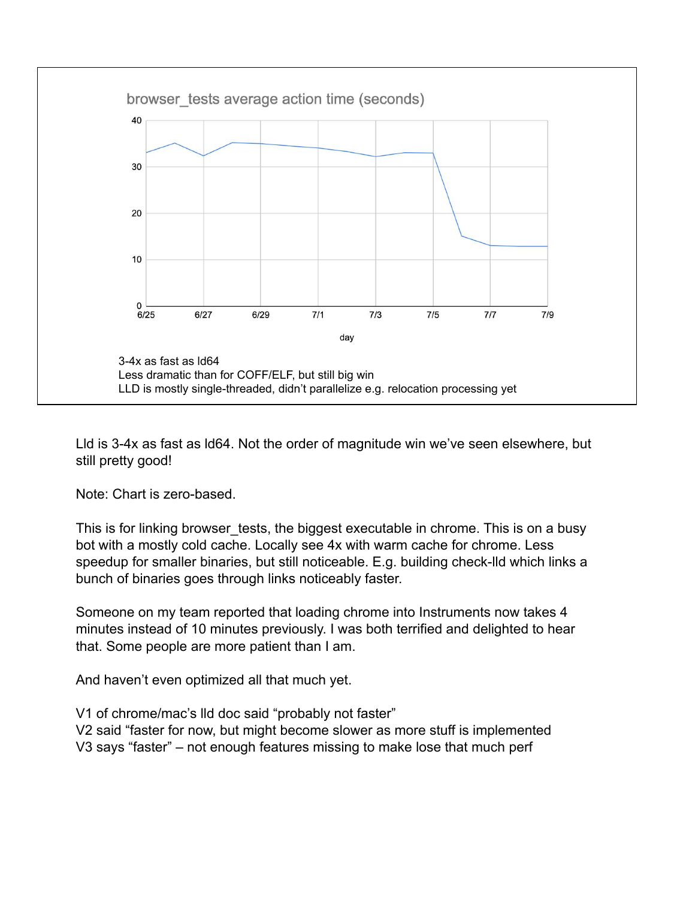

Lld is 3-4x as fast as ld64. Not the order of magnitude win we've seen elsewhere, but still pretty good!

Note: Chart is zero-based.

This is for linking browser\_tests, the biggest executable in chrome. This is on a busy bot with a mostly cold cache. Locally see 4x with warm cache for chrome. Less speedup for smaller binaries, but still noticeable. E.g. building check-lld which links a bunch of binaries goes through links noticeably faster.

Someone on my team reported that loading chrome into Instruments now takes 4 minutes instead of 10 minutes previously. I was both terrified and delighted to hear that. Some people are more patient than I am.

And haven't even optimized all that much yet.

V1 of chrome/mac's lld doc said "probably not faster" V2 said "faster for now, but might become slower as more stuff is implemented V3 says "faster" – not enough features missing to make lose that much perf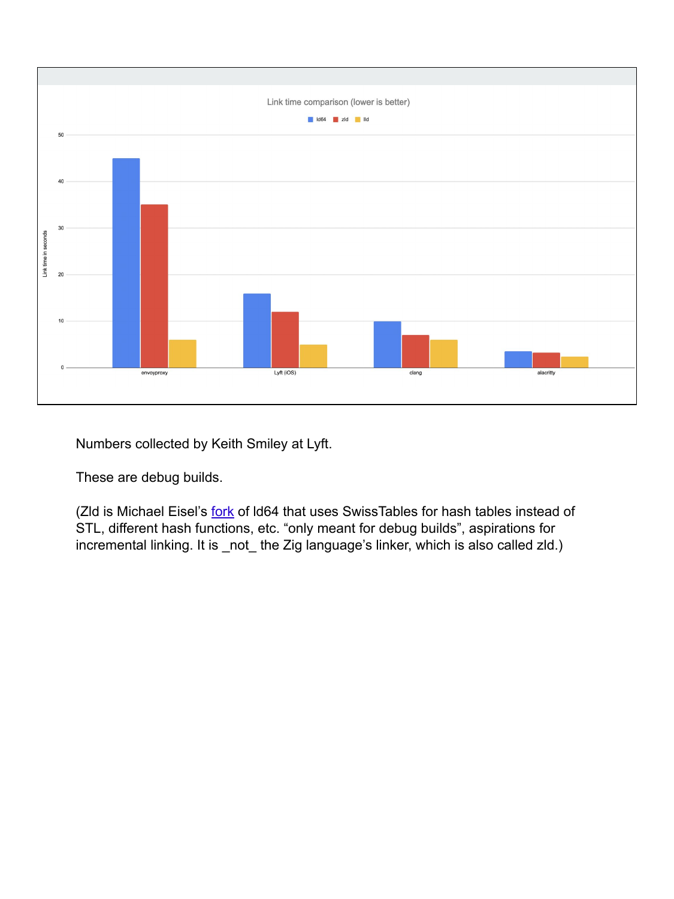

Numbers collected by Keith Smiley at Lyft.

These are debug builds.

(Zld is Michael Eisel's [fork](https://github.com/michaeleisel/zld) of ld64 that uses SwissTables for hash tables instead of STL, different hash functions, etc. "only meant for debug builds", aspirations for incremental linking. It is \_not\_ the Zig language's linker, which is also called zld.)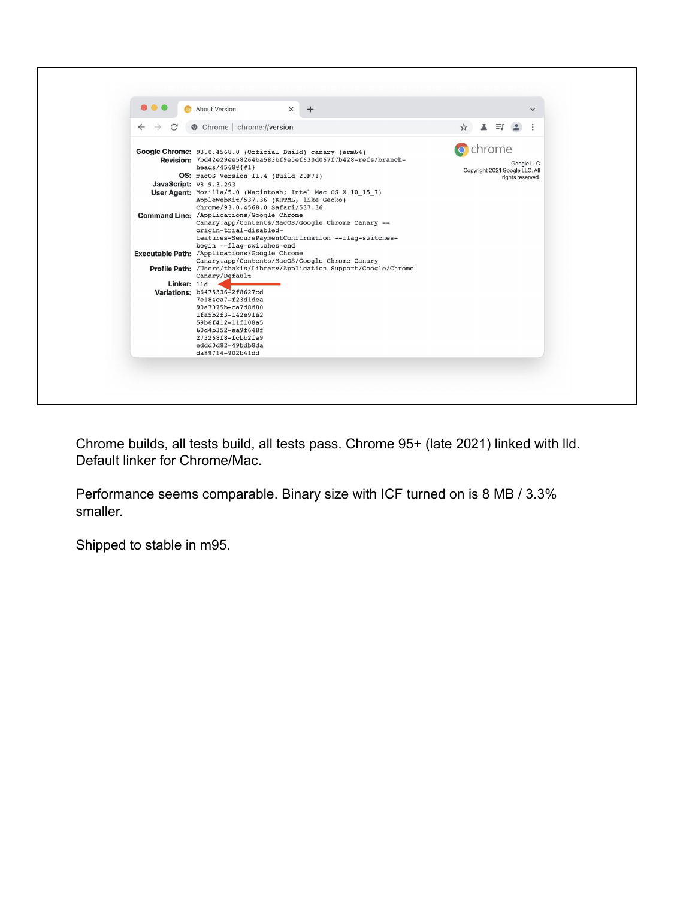| $\times$<br>About Version<br>© Chrome   chrome://version<br>$\leftarrow$<br>$\rightarrow$                                                                                                                                                                                                                                                                                                                                                                                                                                                                                                                                                                                                                                                                                                                                                                                                                                                                                                                 | $\checkmark$<br>$\equiv$ r<br>A                                            |
|-----------------------------------------------------------------------------------------------------------------------------------------------------------------------------------------------------------------------------------------------------------------------------------------------------------------------------------------------------------------------------------------------------------------------------------------------------------------------------------------------------------------------------------------------------------------------------------------------------------------------------------------------------------------------------------------------------------------------------------------------------------------------------------------------------------------------------------------------------------------------------------------------------------------------------------------------------------------------------------------------------------|----------------------------------------------------------------------------|
| Google Chrome: 93.0.4568.0 (Official Build) canary (arm64)<br>Revision: 7bd42e29ee58264ba583bf9e0ef630d067f7b428-refs/branch-<br>$heads/45680\{#1\}$<br>OS: macOS Version 11.4 (Build 20F71)<br>JavaScript: v8 9.3.293<br>User Agent: Mozilla/5.0 (Macintosh; Intel Mac OS X 10 15 7)<br>AppleWebKit/537.36 (KHTML, like Gecko)<br>Chrome/93.0.4568.0 Safari/537.36<br>Command Line: / Applications/Google Chrome<br>Canary.app/Contents/MacOS/Google Chrome Canary --<br>origin-trial-disabled-<br>features=SecurePaymentConfirmation --flag-switches-<br>begin --flag-switches-end<br>Executable Path: / Applications/Google Chrome<br>Canary.app/Contents/MacOS/Google Chrome Canary<br>Profile Path: /Users/thakis/Library/Application Support/Google/Chrome<br>Canary/Default<br>Linker: 11d<br>Variations: b6475336-2f8627cd<br>7e184ca7-f23dldea<br>90a7075b-ca7d8d80<br>1fa5b2f3-142e91a2<br>59b6f412-11f108a5<br>60d4b352-ea9f648f<br>273268f8-fcbb2fe9<br>eddd0d82-49bdb8da<br>da89714-902b41dd | chrome<br>Google LLC<br>Copyright 2021 Google LLC. All<br>rights reserved. |

Chrome builds, all tests build, all tests pass. Chrome 95+ (late 2021) linked with lld. Default linker for Chrome/Mac.

Performance seems comparable. Binary size with ICF turned on is 8 MB / 3.3% smaller.

Shipped to stable in m95.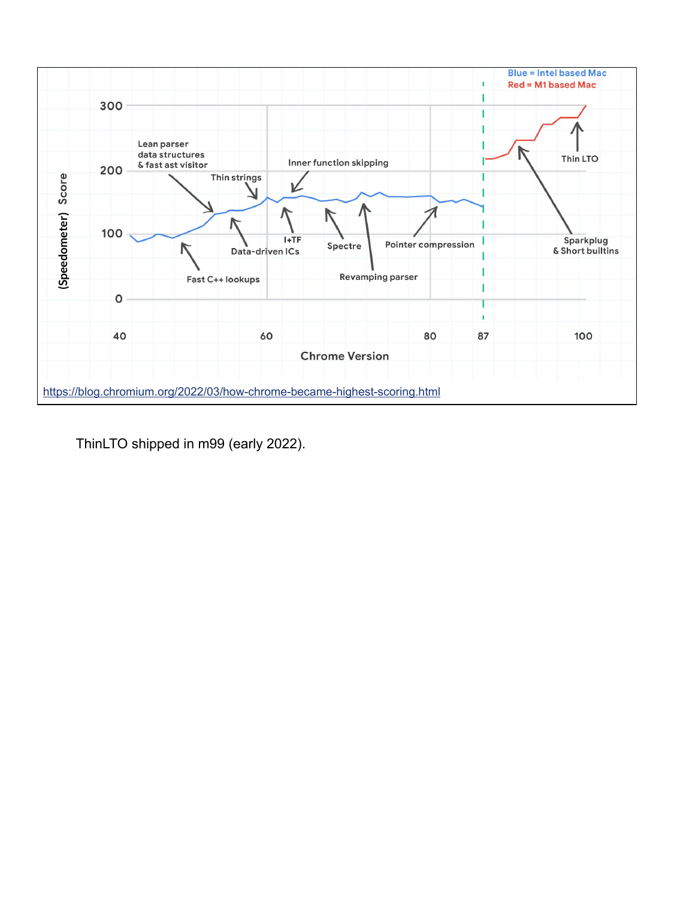

ThinLTO shipped in m99 (early 2022).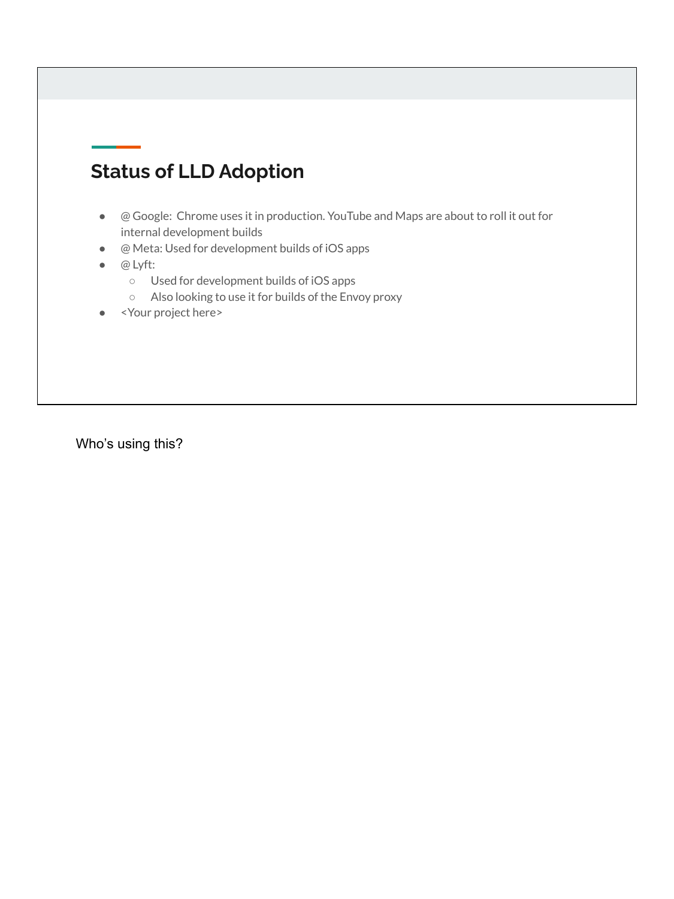# **Status of LLD Adoption**

- @ Google: Chrome uses it in production. YouTube and Maps are about to roll it out for internal development builds
- @ Meta: Used for development builds of iOS apps
- @ Lyft:
	- Used for development builds of iOS apps
	- Also looking to use it for builds of the Envoy proxy
- <Your project here>

Who's using this?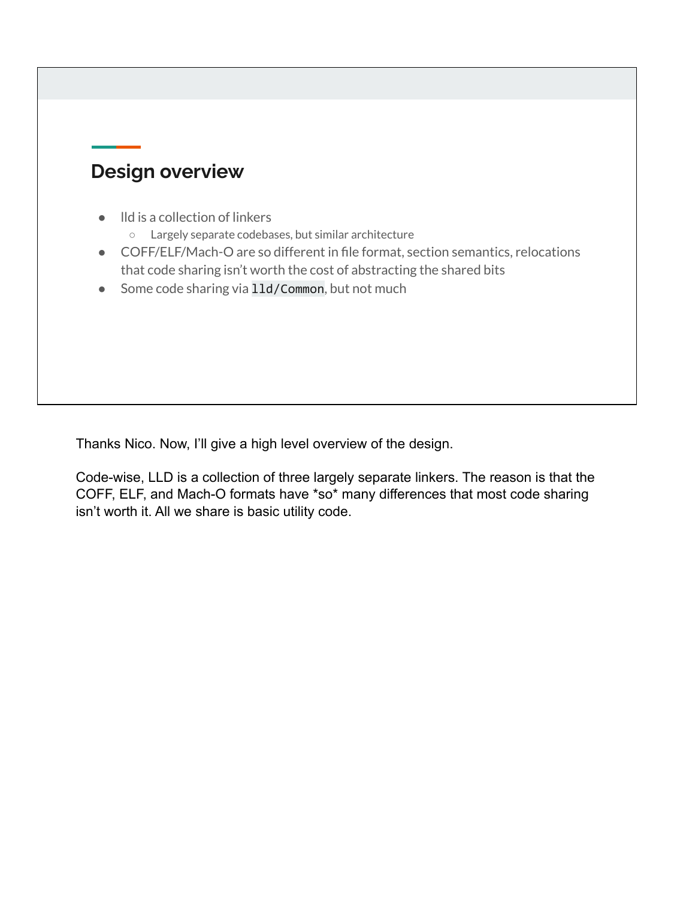### **Design overview**

- lld is a collection of linkers
	- Largely separate codebases, but similar architecture
- COFF/ELF/Mach-O are so different in file format, section semantics, relocations that code sharing isn't worth the cost of abstracting the shared bits
- Some code sharing via 11d/Common, but not much

Thanks Nico. Now, I'll give a high level overview of the design.

Code-wise, LLD is a collection of three largely separate linkers. The reason is that the COFF, ELF, and Mach-O formats have \*so\* many differences that most code sharing isn't worth it. All we share is basic utility code.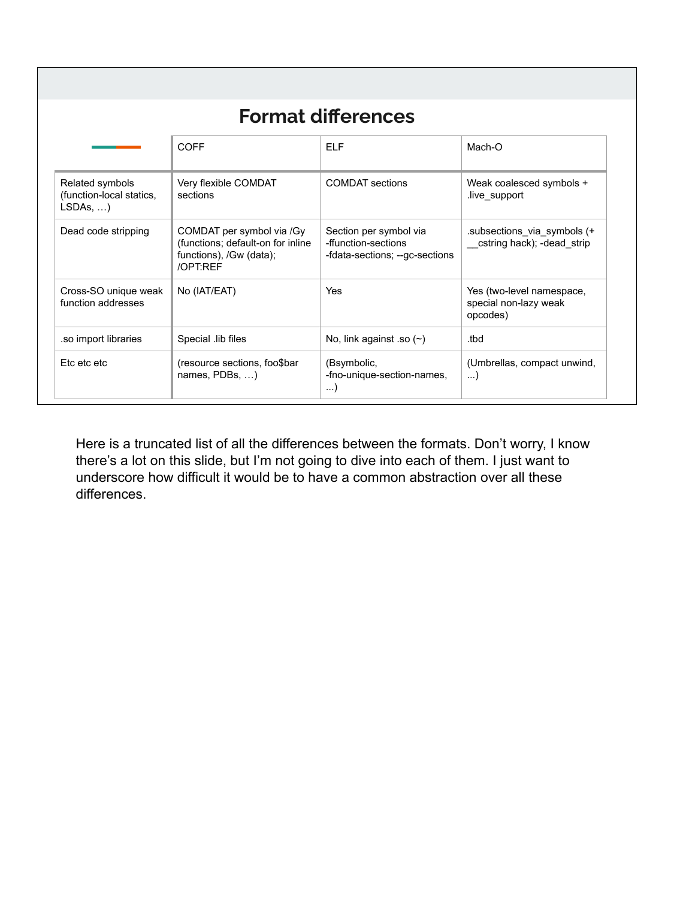| <b>Format differences</b> |
|---------------------------|
|---------------------------|

|                                                                | COFF                                                                                                  | FLF.                                                                            | Mach-O                                                         |
|----------------------------------------------------------------|-------------------------------------------------------------------------------------------------------|---------------------------------------------------------------------------------|----------------------------------------------------------------|
| Related symbols<br>(function-local statics,<br>$LSDAs, \ldots$ | Very flexible COMDAT<br>sections                                                                      | <b>COMDAT</b> sections                                                          | Weak coalesced symbols +<br>live support                       |
| Dead code stripping                                            | COMDAT per symbol via /Gy<br>(functions; default-on for inline<br>functions), /Gw (data);<br>/OPT:REF | Section per symbol via<br>-ffunction-sections<br>-fdata-sections; --gc-sections | subsections via symbols (+<br>cstring hack); -dead_strip       |
| Cross-SO unique weak<br>function addresses                     | No (IAT/EAT)                                                                                          | <b>Yes</b>                                                                      | Yes (two-level namespace,<br>special non-lazy weak<br>opcodes) |
| so import libraries.                                           | Special lib files                                                                                     | No, link against so $($                                                         | .tbd                                                           |
| Etc etc etc                                                    | (resource sections, foo\$bar)<br>names, $PDBs$ , )                                                    | (Bsymbolic,<br>-fno-unique-section-names,<br>$\ldots$                           | (Umbrellas, compact unwind,<br>)                               |

Here is a truncated list of all the differences between the formats. Don't worry, I know there's a lot on this slide, but I'm not going to dive into each of them. I just want to underscore how difficult it would be to have a common abstraction over all these differences.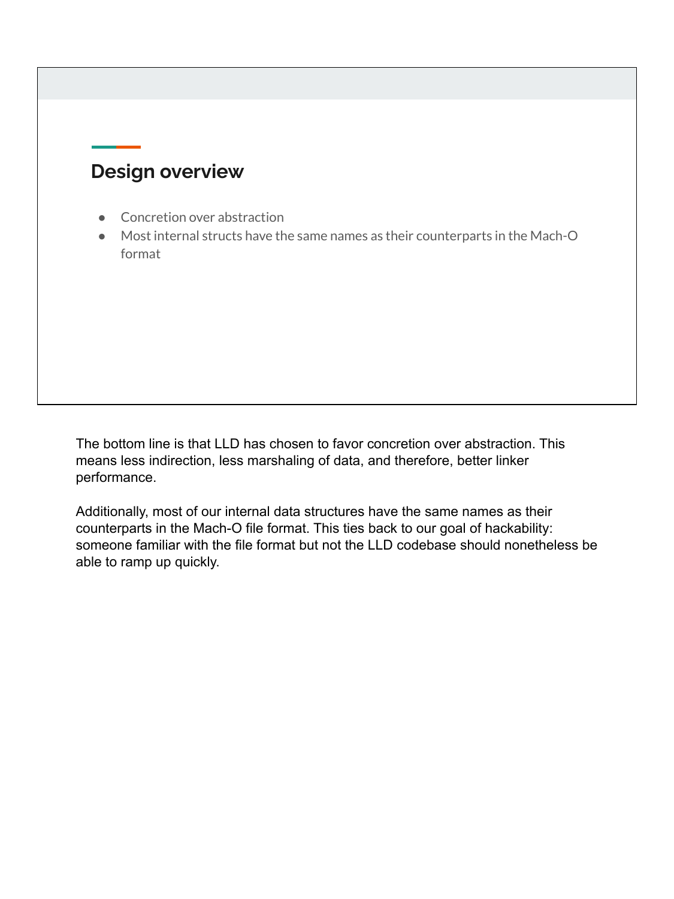### **Design overview**

- Concretion over abstraction
- Most internal structs have the same names as their counterparts in the Mach-O format

The bottom line is that LLD has chosen to favor concretion over abstraction. This means less indirection, less marshaling of data, and therefore, better linker performance.

Additionally, most of our internal data structures have the same names as their counterparts in the Mach-O file format. This ties back to our goal of hackability: someone familiar with the file format but not the LLD codebase should nonetheless be able to ramp up quickly.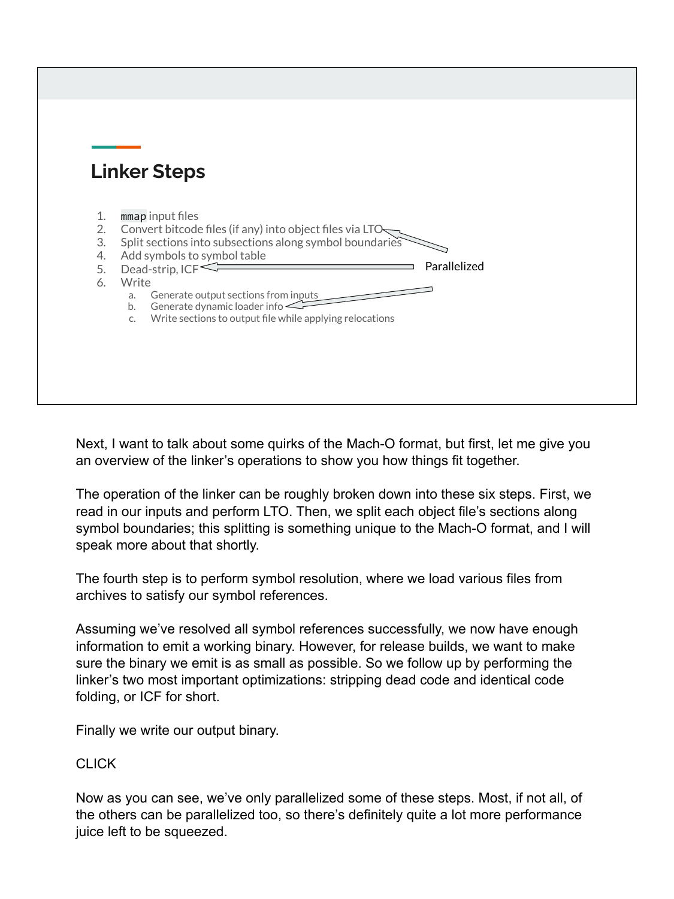|                                  | <b>Linker Steps</b>                                                                                                                                                                                                                                                                                                                                                                     |  |
|----------------------------------|-----------------------------------------------------------------------------------------------------------------------------------------------------------------------------------------------------------------------------------------------------------------------------------------------------------------------------------------------------------------------------------------|--|
| 1.<br>2.<br>3.<br>4.<br>5.<br>6. | mmap input files<br>Convert bitcode files (if any) into object files via LTO-<br>Split sections into subsections along symbol boundaries<br>Add symbols to symbol table<br>Parallelized<br>Dead-strip, $ICF \leq$<br>Write<br>Generate output sections from inputs<br>a.<br>Generate dynamic loader info $\leq$<br>b.<br>Write sections to output file while applying relocations<br>C. |  |

Next, I want to talk about some quirks of the Mach-O format, but first, let me give you an overview of the linker's operations to show you how things fit together.

The operation of the linker can be roughly broken down into these six steps. First, we read in our inputs and perform LTO. Then, we split each object file's sections along symbol boundaries; this splitting is something unique to the Mach-O format, and I will speak more about that shortly.

The fourth step is to perform symbol resolution, where we load various files from archives to satisfy our symbol references.

Assuming we've resolved all symbol references successfully, we now have enough information to emit a working binary. However, for release builds, we want to make sure the binary we emit is as small as possible. So we follow up by performing the linker's two most important optimizations: stripping dead code and identical code folding, or ICF for short.

Finally we write our output binary.

#### CLICK

Now as you can see, we've only parallelized some of these steps. Most, if not all, of the others can be parallelized too, so there's definitely quite a lot more performance juice left to be squeezed.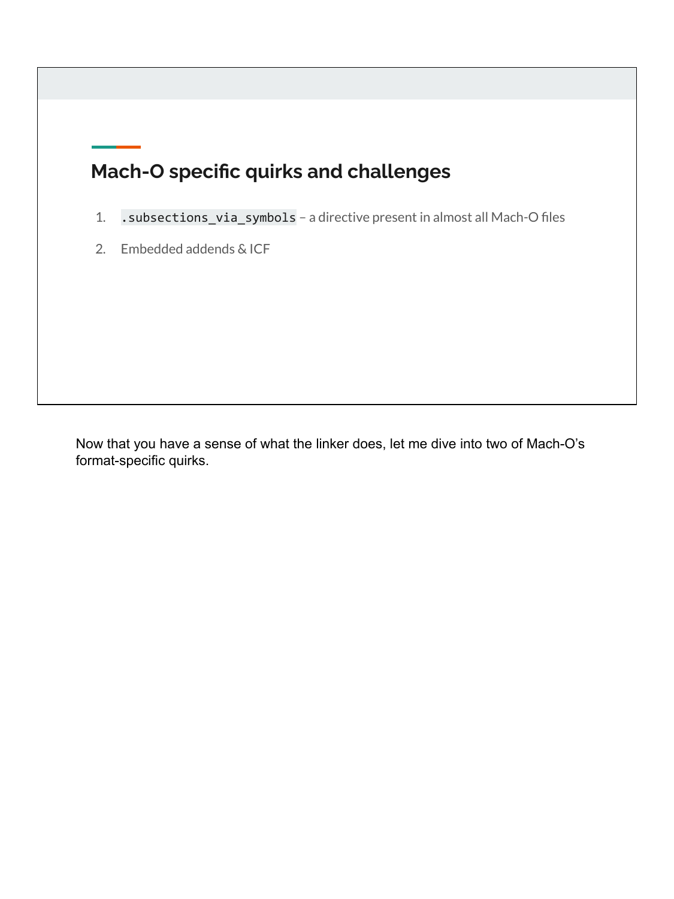# **Mach-O specific quirks and challenges**

- 1. .subsections\_via\_symbols a directive present in almost all Mach-O files
- 2. Embedded addends & ICF

Now that you have a sense of what the linker does, let me dive into two of Mach-O's format-specific quirks.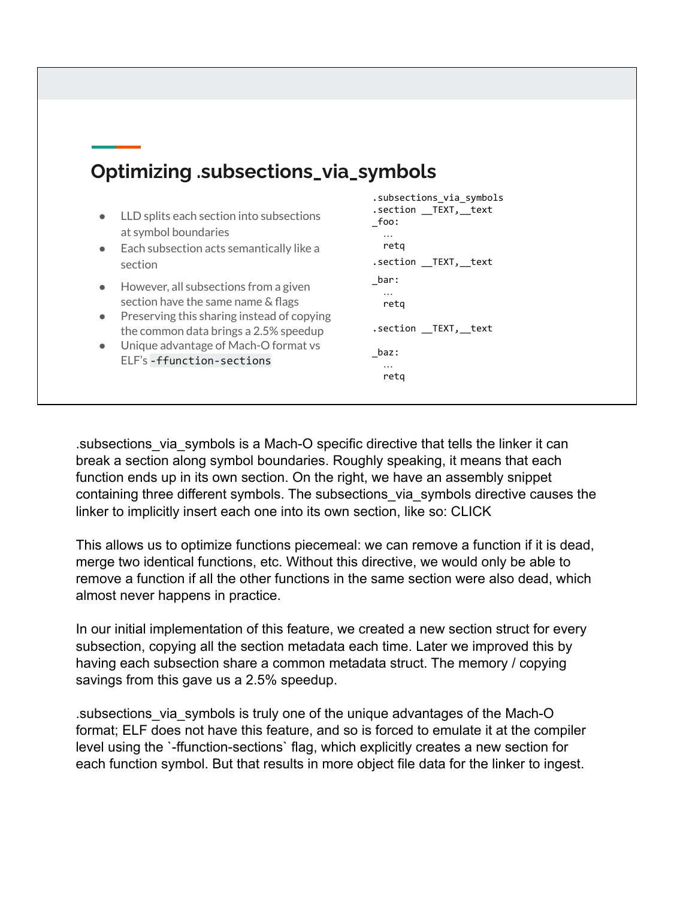# **Optimizing .subsections\_via\_symbols**

- LLD splits each section into subsections at symbol boundaries
- Each subsection acts semantically like a section
- However, all subsections from a given section have the same name & flags
- Preserving this sharing instead of copying the common data brings a 2.5% speedup
- Unique advantage of Mach-O format vs ELF's -ffunction-sections

```
.subsections_via_symbols
.section __TEXT, text
_foo:
  …
  retq
.section __TEXT,__text
_bar:
  …
  retq
.section __TEXT,__text
_baz:
   …
   retq
```
.subsections\_via\_symbols is a Mach-O specific directive that tells the linker it can break a section along symbol boundaries. Roughly speaking, it means that each function ends up in its own section. On the right, we have an assembly snippet containing three different symbols. The subsections\_via\_symbols directive causes the linker to implicitly insert each one into its own section, like so: CLICK

This allows us to optimize functions piecemeal: we can remove a function if it is dead, merge two identical functions, etc. Without this directive, we would only be able to remove a function if all the other functions in the same section were also dead, which almost never happens in practice.

In our initial implementation of this feature, we created a new section struct for every subsection, copying all the section metadata each time. Later we improved this by having each subsection share a common metadata struct. The memory / copying savings from this gave us a 2.5% speedup.

.subsections\_via\_symbols is truly one of the unique advantages of the Mach-O format; ELF does not have this feature, and so is forced to emulate it at the compiler level using the `-ffunction-sections` flag, which explicitly creates a new section for each function symbol. But that results in more object file data for the linker to ingest.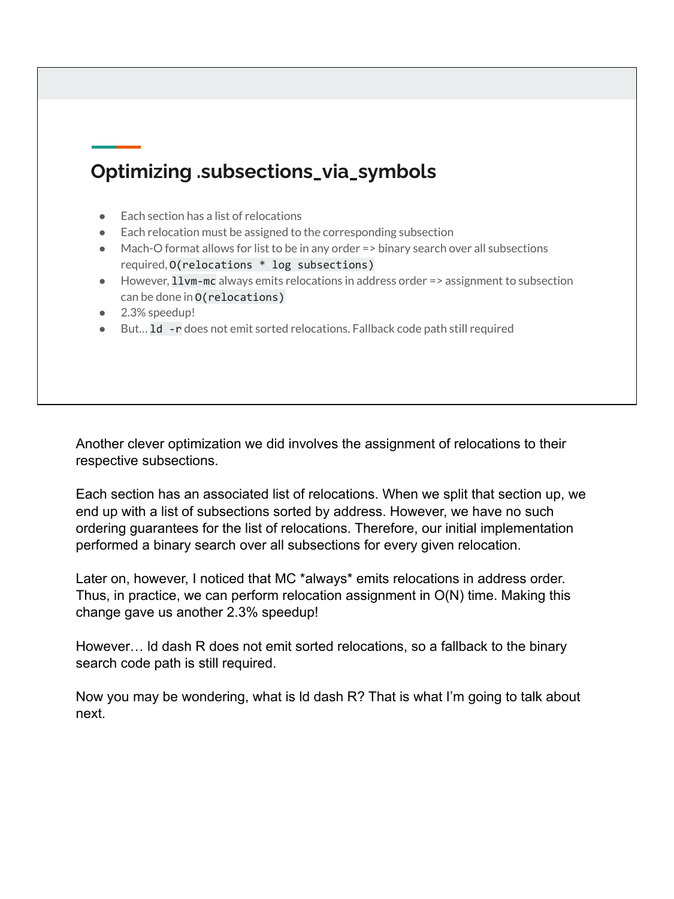# **Optimizing .subsections\_via\_symbols**

- **Each section has a list of relocations**
- Each relocation must be assigned to the corresponding subsection
- Mach-O format allows for list to be in any order => binary search over all subsections required, O(relocations \* log subsections)
- However, 11vm-mc always emits relocations in address order => assignment to subsection can be done in O(relocations)
- 2.3% speedup!
- But... 1d -r does not emit sorted relocations. Fallback code path still required

Another clever optimization we did involves the assignment of relocations to their respective subsections.

Each section has an associated list of relocations. When we split that section up, we end up with a list of subsections sorted by address. However, we have no such ordering guarantees for the list of relocations. Therefore, our initial implementation performed a binary search over all subsections for every given relocation.

Later on, however, I noticed that MC \*always\* emits relocations in address order. Thus, in practice, we can perform relocation assignment in O(N) time. Making this change gave us another 2.3% speedup!

However… ld dash R does not emit sorted relocations, so a fallback to the binary search code path is still required.

Now you may be wondering, what is ld dash R? That is what I'm going to talk about next.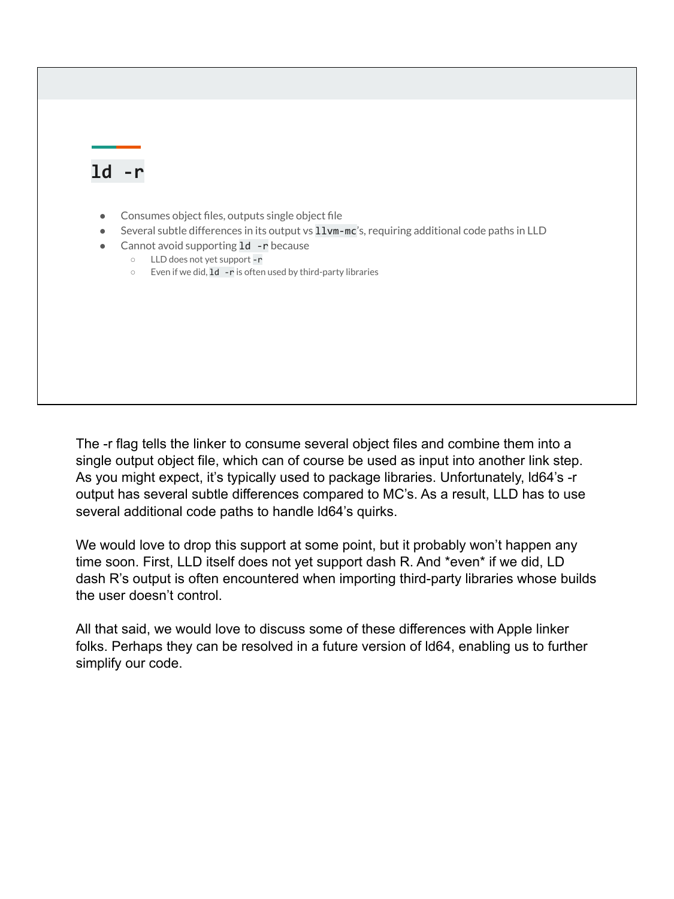### **ld -r**

- Consumes object files, outputs single object file
- Several subtle differences in its output vs 11vm-mc's, requiring additional code paths in LLD
- Cannot avoid supporting **1d** r because
	- LLD does not yet support -r
	- Even if we did, ld -r is often used by third-party libraries

The -r flag tells the linker to consume several object files and combine them into a single output object file, which can of course be used as input into another link step. As you might expect, it's typically used to package libraries. Unfortunately, ld64's -r output has several subtle differences compared to MC's. As a result, LLD has to use several additional code paths to handle ld64's quirks.

We would love to drop this support at some point, but it probably won't happen any time soon. First, LLD itself does not yet support dash R. And \*even\* if we did, LD dash R's output is often encountered when importing third-party libraries whose builds the user doesn't control.

All that said, we would love to discuss some of these differences with Apple linker folks. Perhaps they can be resolved in a future version of ld64, enabling us to further simplify our code.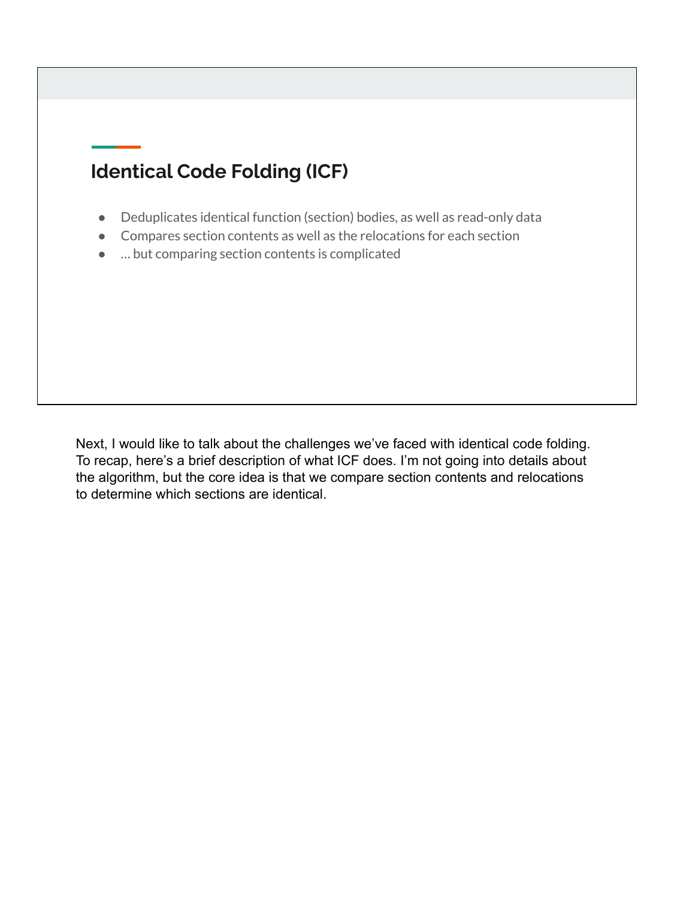# **Identical Code Folding (ICF)**

- Deduplicates identical function (section) bodies, as well as read-only data
- Compares section contents as well as the relocations for each section
- … but comparing section contents is complicated

Next, I would like to talk about the challenges we've faced with identical code folding. To recap, here's a brief description of what ICF does. I'm not going into details about the algorithm, but the core idea is that we compare section contents and relocations to determine which sections are identical.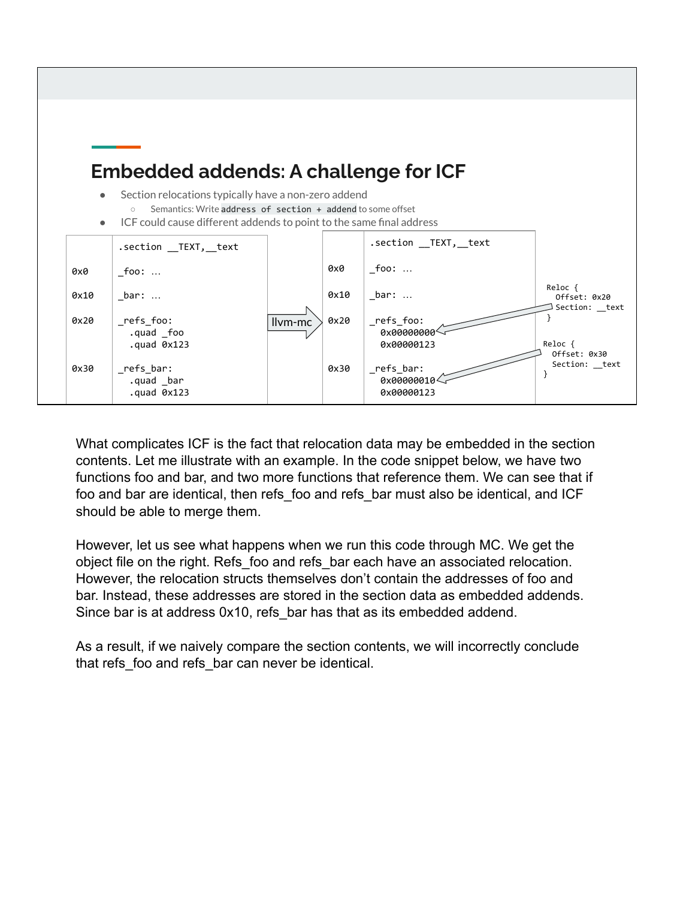

What complicates ICF is the fact that relocation data may be embedded in the section contents. Let me illustrate with an example. In the code snippet below, we have two functions foo and bar, and two more functions that reference them. We can see that if foo and bar are identical, then refs\_foo and refs\_bar must also be identical, and ICF should be able to merge them.

However, let us see what happens when we run this code through MC. We get the object file on the right. Refs\_foo and refs\_bar each have an associated relocation. However, the relocation structs themselves don't contain the addresses of foo and bar. Instead, these addresses are stored in the section data as embedded addends. Since bar is at address 0x10, refs\_bar has that as its embedded addend.

As a result, if we naively compare the section contents, we will incorrectly conclude that refs\_foo and refs\_bar can never be identical.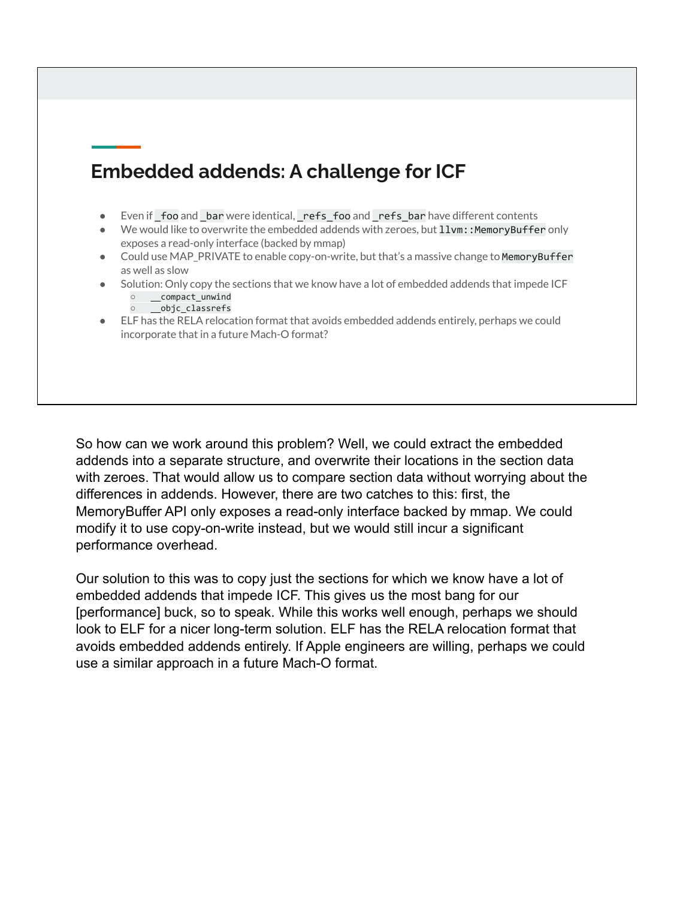# **Embedded addends: A challenge for ICF**

- Even if foo and bar were identical, refs foo and refs bar have different contents
- We would like to overwrite the embedded addends with zeroes, but 11vm:: MemoryBuffer only exposes a read-only interface (backed by mmap)
- Could use MAP\_PRIVATE to enable copy-on-write, but that's a massive change to MemoryBuffer as well as slow
- Solution: Only copy the sections that we know have a lot of embedded addends that impede ICF ○ \_\_compact\_unwind
	- \_\_objc\_classrefs
- ELF has the RELA relocation format that avoids embedded addends entirely, perhaps we could incorporate that in a future Mach-O format?

So how can we work around this problem? Well, we could extract the embedded addends into a separate structure, and overwrite their locations in the section data with zeroes. That would allow us to compare section data without worrying about the differences in addends. However, there are two catches to this: first, the MemoryBuffer API only exposes a read-only interface backed by mmap. We could modify it to use copy-on-write instead, but we would still incur a significant performance overhead.

Our solution to this was to copy just the sections for which we know have a lot of embedded addends that impede ICF. This gives us the most bang for our [performance] buck, so to speak. While this works well enough, perhaps we should look to ELF for a nicer long-term solution. ELF has the RELA relocation format that avoids embedded addends entirely. If Apple engineers are willing, perhaps we could use a similar approach in a future Mach-O format.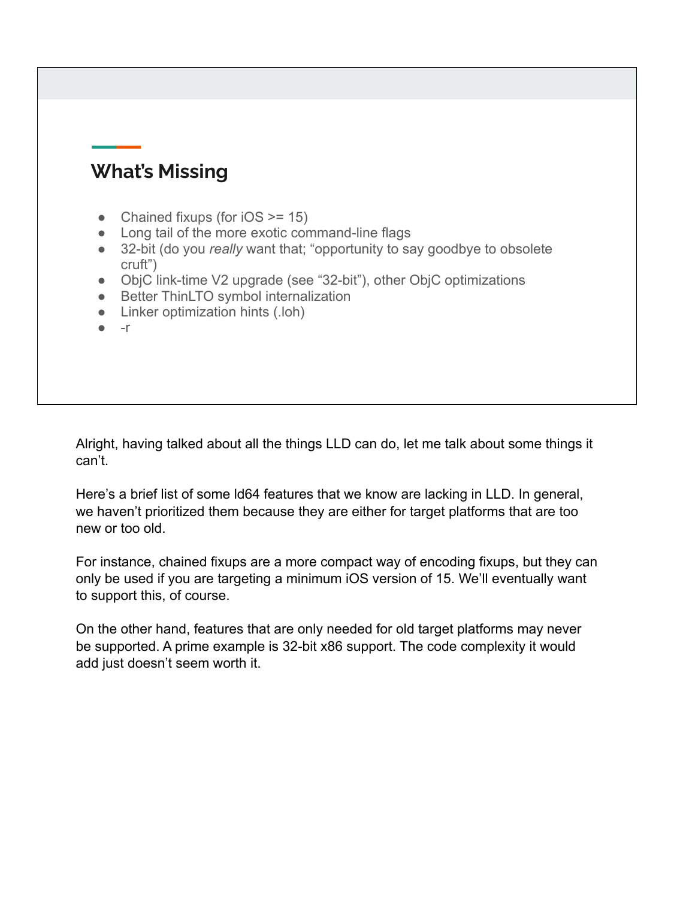### **What's Missing**

- Chained fixups (for  $iOS \ge 15$ )
- Long tail of the more exotic command-line flags
- 32-bit (do you *really* want that; "opportunity to say goodbye to obsolete cruft")
- ObjC link-time V2 upgrade (see "32-bit"), other ObjC optimizations
- Better ThinLTO symbol internalization
- Linker optimization hints (.loh)
- $\bullet$  -r

Alright, having talked about all the things LLD can do, let me talk about some things it can't.

Here's a brief list of some ld64 features that we know are lacking in LLD. In general, we haven't prioritized them because they are either for target platforms that are too new or too old.

For instance, chained fixups are a more compact way of encoding fixups, but they can only be used if you are targeting a minimum iOS version of 15. We'll eventually want to support this, of course.

On the other hand, features that are only needed for old target platforms may never be supported. A prime example is 32-bit x86 support. The code complexity it would add just doesn't seem worth it.